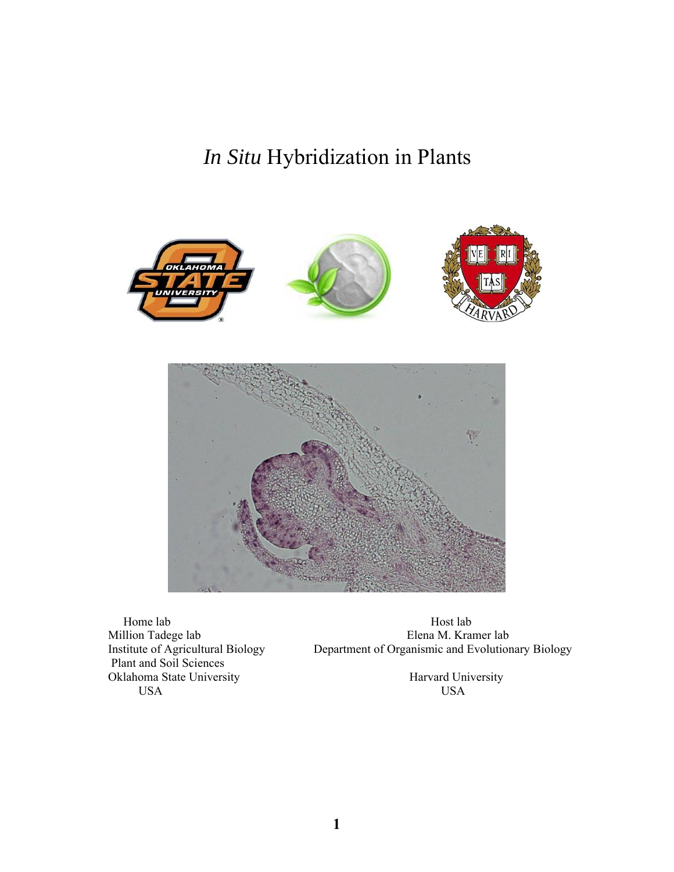*In Situ* Hybridization in Plants





 Plant and Soil Sciences Oklahoma State University<br>
USA USA USA USA USA

Home lab Host lab Host lab<br>
Million Tadege lab Elena M. Kra Million Tadege lab<br>Institute of Agricultural Biology Department of Organismic and Evolution Department of Organismic and Evolutionary Biology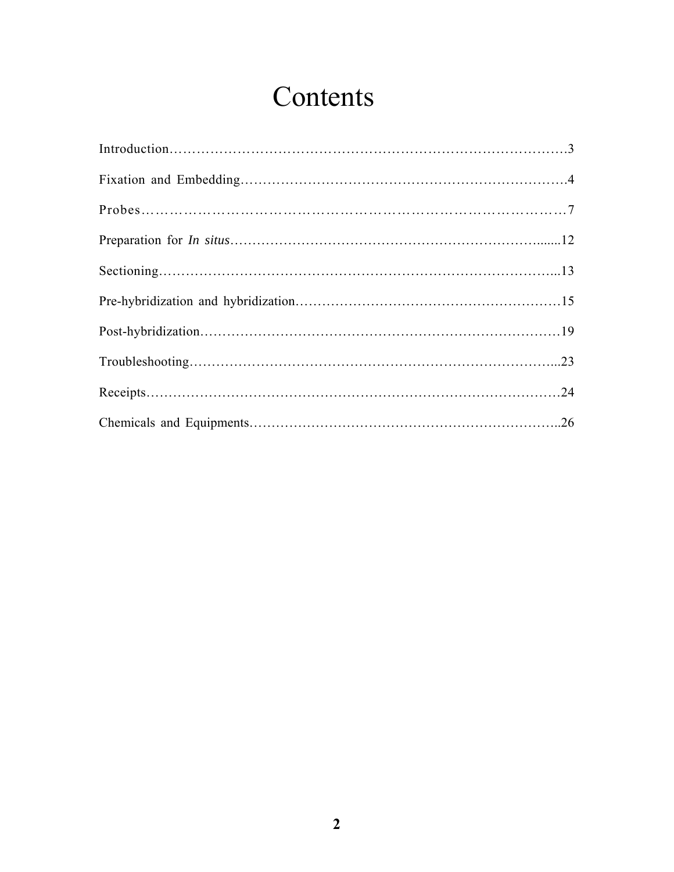# Contents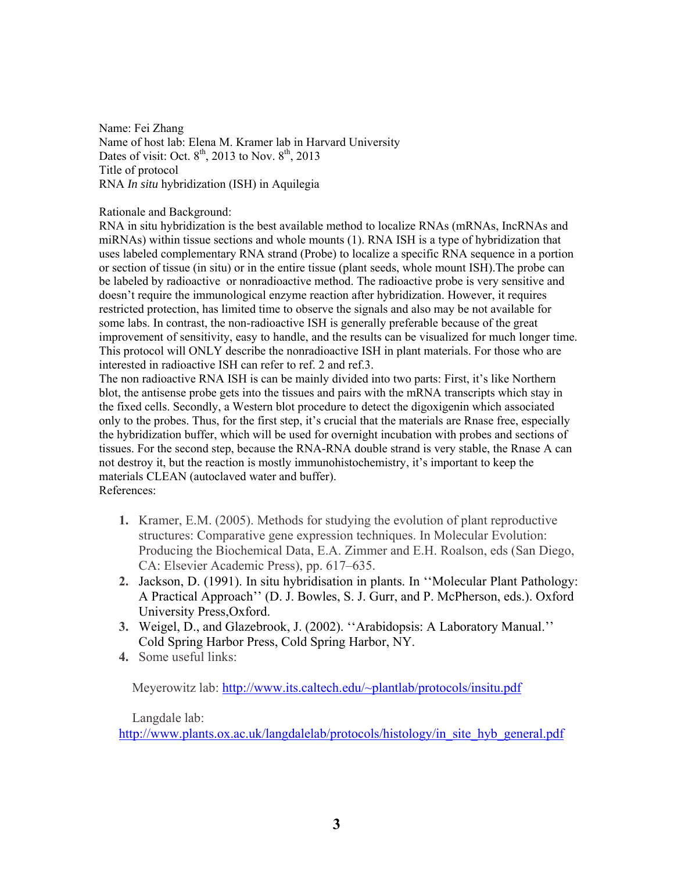Name: Fei Zhang Name of host lab: Elena M. Kramer lab in Harvard University Dates of visit: Oct.  $8<sup>th</sup>$ , 2013 to Nov.  $8<sup>th</sup>$ , 2013 Title of protocol RNA *In situ* hybridization (ISH) in Aquilegia

Rationale and Background:

RNA in situ hybridization is the best available method to localize RNAs (mRNAs, IncRNAs and miRNAs) within tissue sections and whole mounts (1). RNA ISH is a type of hybridization that uses labeled complementary RNA strand (Probe) to localize a specific RNA sequence in a portion or section of tissue (in situ) or in the entire tissue (plant seeds, whole mount ISH).The probe can be labeled by radioactive or nonradioactive method. The radioactive probe is very sensitive and doesn't require the immunological enzyme reaction after hybridization. However, it requires restricted protection, has limited time to observe the signals and also may be not available for some labs. In contrast, the non-radioactive ISH is generally preferable because of the great improvement of sensitivity, easy to handle, and the results can be visualized for much longer time. This protocol will ONLY describe the nonradioactive ISH in plant materials. For those who are interested in radioactive ISH can refer to ref. 2 and ref.3.

The non radioactive RNA ISH is can be mainly divided into two parts: First, it's like Northern blot, the antisense probe gets into the tissues and pairs with the mRNA transcripts which stay in the fixed cells. Secondly, a Western blot procedure to detect the digoxigenin which associated only to the probes. Thus, for the first step, it's crucial that the materials are Rnase free, especially the hybridization buffer, which will be used for overnight incubation with probes and sections of tissues. For the second step, because the RNA-RNA double strand is very stable, the Rnase A can not destroy it, but the reaction is mostly immunohistochemistry, it's important to keep the materials CLEAN (autoclaved water and buffer). References:

- **1.** Kramer, E.M. (2005). Methods for studying the evolution of plant reproductive structures: Comparative gene expression techniques. In Molecular Evolution: Producing the Biochemical Data, E.A. Zimmer and E.H. Roalson, eds (San Diego, CA: Elsevier Academic Press), pp. 617–635.
- **2.** Jackson, D. (1991). In situ hybridisation in plants. In ''Molecular Plant Pathology: A Practical Approach'' (D. J. Bowles, S. J. Gurr, and P. McPherson, eds.). Oxford University Press,Oxford.
- **3.** Weigel, D., and Glazebrook, J. (2002). ''Arabidopsis: A Laboratory Manual.'' Cold Spring Harbor Press, Cold Spring Harbor, NY.
- **4.** Some useful links:

Meyerowitz lab: http://www.its.caltech.edu/~plantlab/protocols/insitu.pdf

Langdale lab:

http://www.plants.ox.ac.uk/langdalelab/protocols/histology/in\_site\_hyb\_general.pdf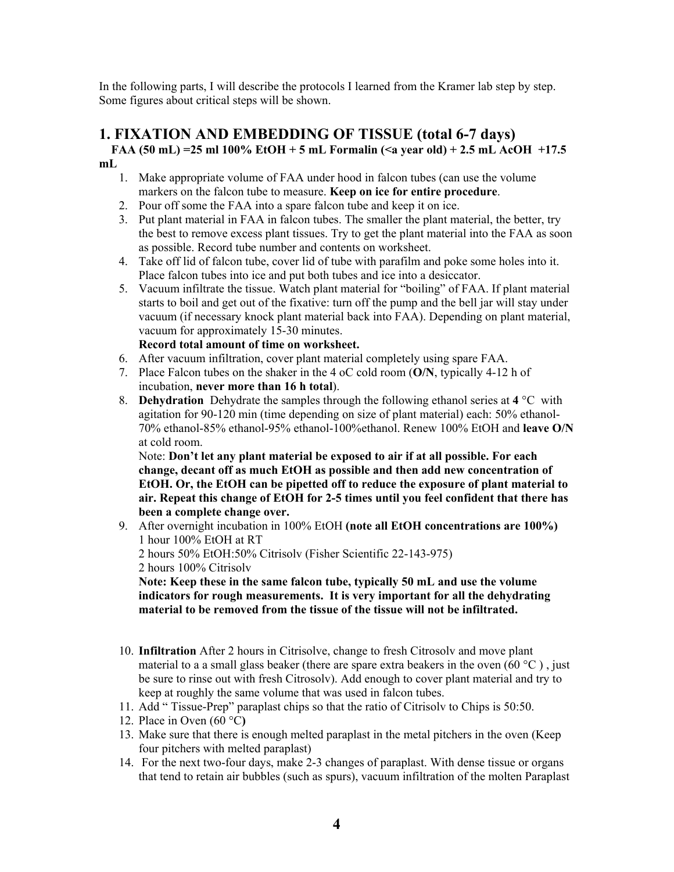In the following parts, I will describe the protocols I learned from the Kramer lab step by step. Some figures about critical steps will be shown.

## **1. FIXATION AND EMBEDDING OF TISSUE (total 6-7 days) FAA (50 mL) =25 ml 100% EtOH + 5 mL Formalin (<a year old) + 2.5 mL AcOH +17.5**

- **mL** 
	- 1. Make appropriate volume of FAA under hood in falcon tubes (can use the volume markers on the falcon tube to measure. **Keep on ice for entire procedure**.
	- 2. Pour off some the FAA into a spare falcon tube and keep it on ice.
	- 3. Put plant material in FAA in falcon tubes. The smaller the plant material, the better, try the best to remove excess plant tissues. Try to get the plant material into the FAA as soon as possible. Record tube number and contents on worksheet.
	- 4. Take off lid of falcon tube, cover lid of tube with parafilm and poke some holes into it. Place falcon tubes into ice and put both tubes and ice into a desiccator.
	- 5. Vacuum infiltrate the tissue. Watch plant material for "boiling" of FAA. If plant material starts to boil and get out of the fixative: turn off the pump and the bell jar will stay under vacuum (if necessary knock plant material back into FAA). Depending on plant material, vacuum for approximately 15-30 minutes.

**Record total amount of time on worksheet.** 

- 6. After vacuum infiltration, cover plant material completely using spare FAA.
- 7. Place Falcon tubes on the shaker in the 4 oC cold room (**O/N**, typically 4-12 h of incubation, **never more than 16 h total**).
- 8. **Dehydration** Dehydrate the samples through the following ethanol series at **4** °Cwith agitation for 90-120 min (time depending on size of plant material) each: 50% ethanol-70% ethanol-85% ethanol-95% ethanol-100%ethanol. Renew 100% EtOH and **leave O/N** at cold room.

Note: **Don't let any plant material be exposed to air if at all possible. For each change, decant off as much EtOH as possible and then add new concentration of EtOH. Or, the EtOH can be pipetted off to reduce the exposure of plant material to air. Repeat this change of EtOH for 2-5 times until you feel confident that there has been a complete change over.**

9. After overnight incubation in 100% EtOH **(note all EtOH concentrations are 100%)** 1 hour 100% EtOH at RT

2 hours 50% EtOH:50% Citrisolv (Fisher Scientific 22-143-975) 2 hours 100% Citrisolv

**Note: Keep these in the same falcon tube, typically 50 mL and use the volume indicators for rough measurements. It is very important for all the dehydrating material to be removed from the tissue of the tissue will not be infiltrated.** 

- 10. **Infiltration** After 2 hours in Citrisolve, change to fresh Citrosolv and move plant material to a a small glass beaker (there are spare extra beakers in the oven  $(60 °C)$ , just be sure to rinse out with fresh Citrosolv). Add enough to cover plant material and try to keep at roughly the same volume that was used in falcon tubes.
- 11. Add " Tissue-Prep" paraplast chips so that the ratio of Citrisolv to Chips is 50:50.
- 12. Place in Oven (60 °C**)**
- 13. Make sure that there is enough melted paraplast in the metal pitchers in the oven (Keep four pitchers with melted paraplast)
- 14. For the next two-four days, make 2-3 changes of paraplast. With dense tissue or organs that tend to retain air bubbles (such as spurs), vacuum infiltration of the molten Paraplast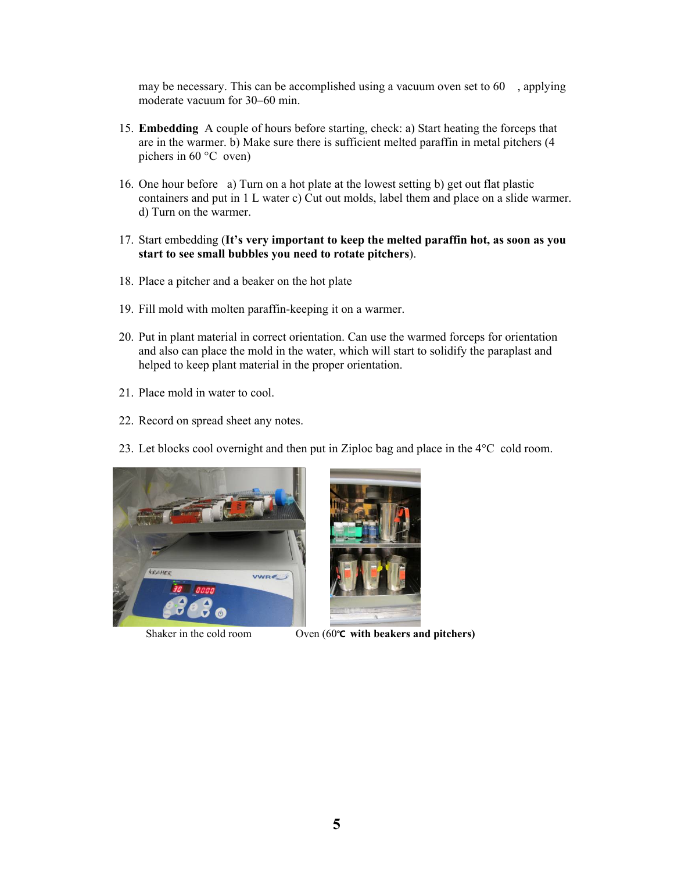may be necessary. This can be accomplished using a vacuum oven set to 60 , applying moderate vacuum for 30–60 min.

- 15. **Embedding** A couple of hours before starting, check: a) Start heating the forceps that are in the warmer. b) Make sure there is sufficient melted paraffin in metal pitchers (4 pichers in 60 °Coven)
- 16. One hour before a) Turn on a hot plate at the lowest setting b) get out flat plastic containers and put in 1 L water c) Cut out molds, label them and place on a slide warmer. d) Turn on the warmer.
- 17. Start embedding (**It's very important to keep the melted paraffin hot, as soon as you start to see small bubbles you need to rotate pitchers**).
- 18. Place a pitcher and a beaker on the hot plate
- 19. Fill mold with molten paraffin-keeping it on a warmer.
- 20. Put in plant material in correct orientation. Can use the warmed forceps for orientation and also can place the mold in the water, which will start to solidify the paraplast and helped to keep plant material in the proper orientation.
- 21. Place mold in water to cool.
- 22. Record on spread sheet any notes.
- 23. Let blocks cool overnight and then put in Ziploc bag and place in the 4°Ccold room.





Shaker in the cold room Oven (60**℃ with beakers and pitchers)**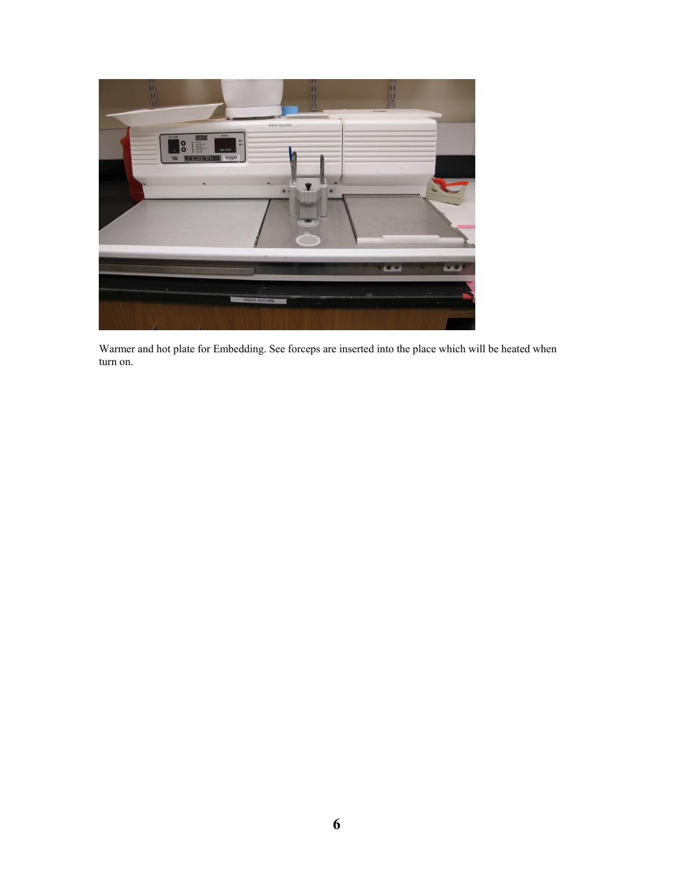

Warmer and hot plate for Embedding. See forceps are inserted into the place which will be heated when turn on.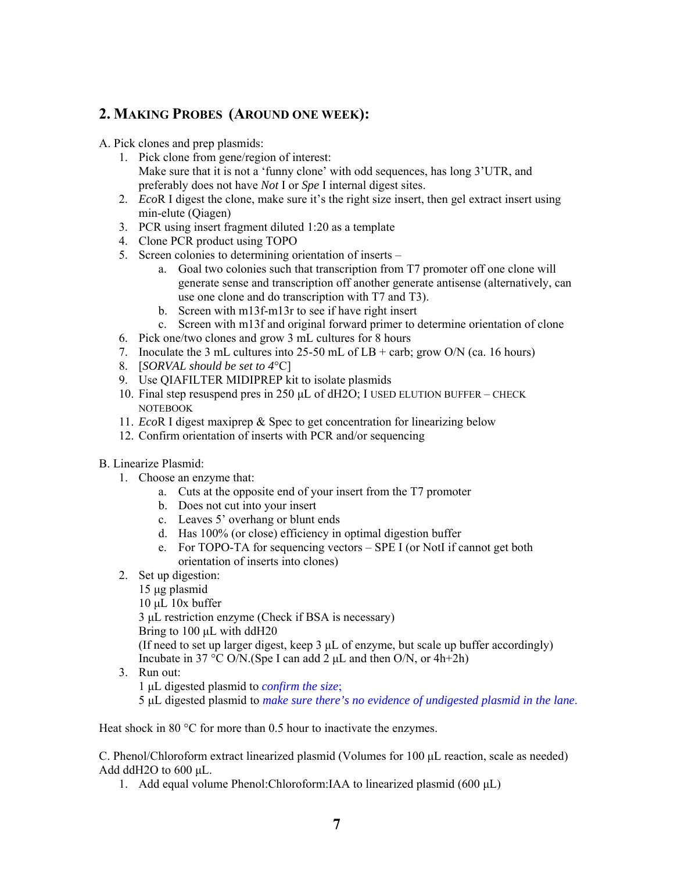#### **2. MAKING PROBES (AROUND ONE WEEK):**

- A. Pick clones and prep plasmids:
	- 1. Pick clone from gene/region of interest: Make sure that it is not a 'funny clone' with odd sequences, has long 3'UTR, and preferably does not have *Not* I or *Spe* I internal digest sites.
	- 2. *Eco*R I digest the clone, make sure it's the right size insert, then gel extract insert using min-elute (Qiagen)
	- 3. PCR using insert fragment diluted 1:20 as a template
	- 4. Clone PCR product using TOPO
	- 5. Screen colonies to determining orientation of inserts
		- a. Goal two colonies such that transcription from T7 promoter off one clone will generate sense and transcription off another generate antisense (alternatively, can use one clone and do transcription with T7 and T3).
		- b. Screen with m13f-m13r to see if have right insert
		- c. Screen with m13f and original forward primer to determine orientation of clone
	- 6. Pick one/two clones and grow 3 mL cultures for 8 hours
	- 7. Inoculate the 3 mL cultures into  $25-50$  mL of LB + carb; grow O/N (ca. 16 hours)
	- 8. [*SORVAL should be set to 4*°C]
	- 9. Use QIAFILTER MIDIPREP kit to isolate plasmids
	- 10. Final step resuspend pres in 250 μL of dH2O; I USED ELUTION BUFFER CHECK NOTEBOOK
	- 11. *Eco*R I digest maxiprep & Spec to get concentration for linearizing below
	- 12. Confirm orientation of inserts with PCR and/or sequencing
- B. Linearize Plasmid:
	- 1. Choose an enzyme that:
		- a. Cuts at the opposite end of your insert from the T7 promoter
		- b. Does not cut into your insert
		- c. Leaves 5' overhang or blunt ends
		- d. Has 100% (or close) efficiency in optimal digestion buffer
		- e. For TOPO-TA for sequencing vectors SPE I (or NotI if cannot get both orientation of inserts into clones)
	- 2. Set up digestion:
		- 15 μg plasmid
			- $10 \mu L$  10x buffer

3 μL restriction enzyme (Check if BSA is necessary) Bring to 100 μL with ddH20 (If need to set up larger digest, keep 3 μL of enzyme, but scale up buffer accordingly) Incubate in 37 °C O/N.(Spe I can add 2  $\mu$ L and then O/N, or 4h+2h)

- 3. Run out:
	- 1 μL digested plasmid to *confirm the size*;

5 μL digested plasmid to *make sure there's no evidence of undigested plasmid in the lane*.

Heat shock in 80 °C for more than 0.5 hour to inactivate the enzymes.

C. Phenol/Chloroform extract linearized plasmid (Volumes for 100 μL reaction, scale as needed) Add ddH2O to 600 μL.

1. Add equal volume Phenol:Chloroform:IAA to linearized plasmid (600 μL)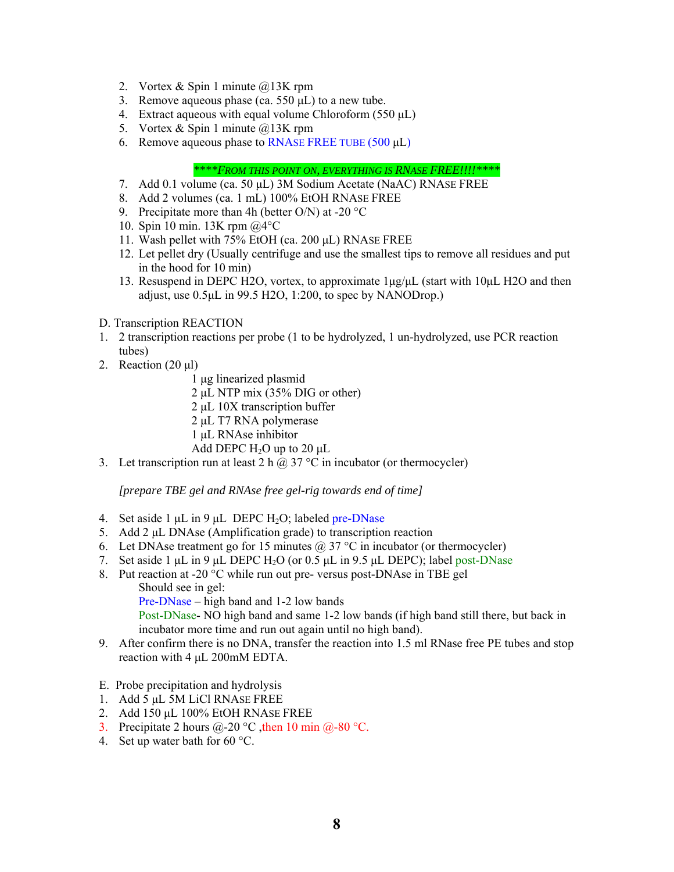- 2. Vortex & Spin 1 minute @13K rpm
- 3. Remove aqueous phase (ca. 550 μL) to a new tube.
- 4. Extract aqueous with equal volume Chloroform (550 μL)
- 5. Vortex & Spin 1 minute @13K rpm
- 6. Remove aqueous phase to RNASE FREE TUBE (500 μL)

*\*\*\*\*FROM THIS POINT ON, EVERYTHING IS RNASE FREE!!!!\*\*\*\** 

- 7. Add 0.1 volume (ca. 50 μL) 3M Sodium Acetate (NaAC) RNASE FREE
- 8. Add 2 volumes (ca. 1 mL) 100% EtOH RNASE FREE
- 9. Precipitate more than 4h (better O/N) at -20  $^{\circ}$ C
- 10. Spin 10 min. 13K rpm @4°C
- 11. Wash pellet with 75% EtOH (ca. 200 μL) RNASE FREE
- 12. Let pellet dry (Usually centrifuge and use the smallest tips to remove all residues and put in the hood for 10 min)
- 13. Resuspend in DEPC H2O, vortex, to approximate  $1\mu\text{g}/\mu\text{L}$  (start with 10 $\mu\text{L}$  H2O and then adjust, use 0.5μL in 99.5 H2O, 1:200, to spec by NANODrop.)

#### D. Transcription REACTION

- 1. 2 transcription reactions per probe (1 to be hydrolyzed, 1 un-hydrolyzed, use PCR reaction tubes)
- 2. Reaction (20 μl)
	- 1 μg linearized plasmid
	- 2 μL NTP mix (35% DIG or other)
	- 2 μL 10X transcription buffer
	- 2 μL T7 RNA polymerase
	- 1 μL RNAse inhibitor
	- Add DEPC  $H_2O$  up to 20  $\mu L$
- 3. Let transcription run at least 2 h  $\omega$  37 °C in incubator (or thermocycler)

*[prepare TBE gel and RNAse free gel-rig towards end of time]* 

- 4. Set aside 1  $\mu$ L in 9  $\mu$ L DEPC H<sub>2</sub>O; labeled pre-DNase
- 5. Add 2 μL DNAse (Amplification grade) to transcription reaction
- 6. Let DNAse treatment go for 15 minutes  $(a)$  37 °C in incubator (or thermocycler)
- 7. Set aside 1 μL in 9 μL DEPC H<sub>2</sub>O (or 0.5 μL in 9.5 μL DEPC); label post-DNase
- 8. Put reaction at -20 °C while run out pre- versus post-DNAse in TBE gel Should see in gel:

Pre-DNase – high band and 1-2 low bands

Post-DNase- NO high band and same 1-2 low bands (if high band still there, but back in incubator more time and run out again until no high band).

- 9. After confirm there is no DNA, transfer the reaction into 1.5 ml RNase free PE tubes and stop reaction with 4 μL 200mM EDTA.
- E. Probe precipitation and hydrolysis
- 1. Add 5 μL 5M LiCl RNASE FREE
- 2. Add 150 μL 100% EtOH RNASE FREE
- 3. Precipitate 2 hours  $(a)$ -20 °C, then 10 min  $(a)$ -80 °C.
- 4. Set up water bath for  $60^{\circ}$ C.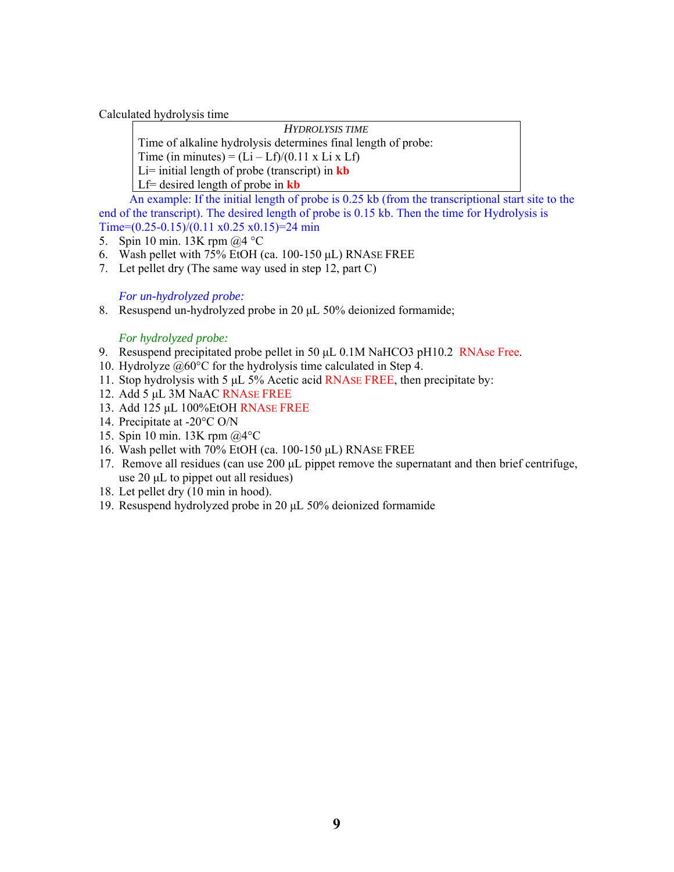Calculated hydrolysis time

*HYDROLYSIS TIME*

Time of alkaline hydrolysis determines final length of probe:

Time (in minutes) =  $(Li - Lf)/(0.11 \times Li \times Lf)$ 

Li= initial length of probe (transcript) in **kb**

Lf= desired length of probe in **kb**

 An example: If the initial length of probe is 0.25 kb (from the transcriptional start site to the end of the transcript). The desired length of probe is 0.15 kb. Then the time for Hydrolysis is Time= $(0.25-0.15)/(0.11 \times 0.25 \times 0.15)$ =24 min

- 5. Spin 10 min. 13K rpm @4 °C
- 6. Wash pellet with 75% EtOH (ca. 100-150 μL) RNASE FREE
- 7. Let pellet dry (The same way used in step 12, part C)

*For un-hydrolyzed probe:* 

8. Resuspend un-hydrolyzed probe in 20 μL 50% deionized formamide;

#### *For hydrolyzed probe:*

- 9. Resuspend precipitated probe pellet in 50 μL 0.1M NaHCO3 pH10.2 RNAse Free.
- 10. Hydrolyze @60°C for the hydrolysis time calculated in Step 4.
- 11. Stop hydrolysis with 5 μL 5% Acetic acid RNASE FREE, then precipitate by:
- 12. Add 5 μL 3M NaAC RNASE FREE
- 13. Add 125 μL 100%EtOH RNASE FREE
- 14. Precipitate at -20°C O/N
- 15. Spin 10 min. 13K rpm @4°C
- 16. Wash pellet with 70% EtOH (ca. 100-150 μL) RNASE FREE
- 17. Remove all residues (can use 200 μL pippet remove the supernatant and then brief centrifuge, use 20 μL to pippet out all residues)
- 18. Let pellet dry (10 min in hood).
- 19. Resuspend hydrolyzed probe in 20 μL 50% deionized formamide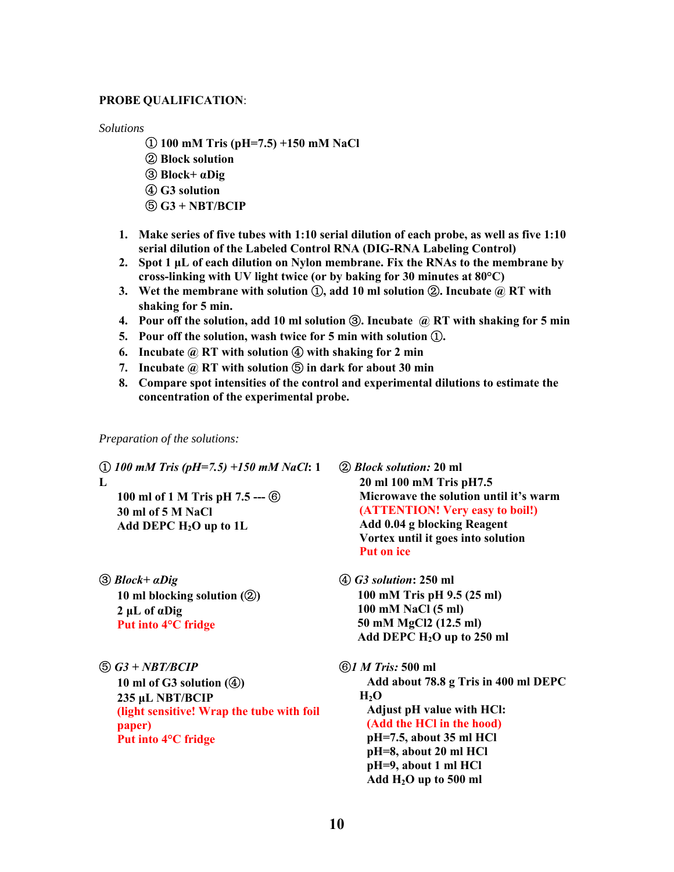#### **PROBE QUALIFICATION**:

*Solutions* 

- ① **100 mM Tris (pH=7.5) +150 mM NaCl**  ② **Block solution**  ③ **Block+ αDig**  ④ **G3 solution**  ⑤ **G3 + NBT/BCIP**
- **1. Make series of five tubes with 1:10 serial dilution of each probe, as well as five 1:10 serial dilution of the Labeled Control RNA (DIG-RNA Labeling Control)**
- **2. Spot 1 μL of each dilution on Nylon membrane. Fix the RNAs to the membrane by cross-linking with UV light twice (or by baking for 30 minutes at 80°C)**
- **3. Wet the membrane with solution** ①**, add 10 ml solution** ②**. Incubate @ RT with shaking for 5 min.**
- **4. Pour off the solution, add 10 ml solution** ③**. Incubate @ RT with shaking for 5 min**
- **5. Pour off the solution, wash twice for 5 min with solution** ①**.**
- **6. Incubate @ RT with solution** ④ **with shaking for 2 min**
- **7. Incubate @ RT with solution** ⑤ **in dark for about 30 min**
- **8. Compare spot intensities of the control and experimental dilutions to estimate the concentration of the experimental probe.**

*Preparation of the solutions:* 

① *100 mM Tris (pH=7.5) +150 mM NaCl***: 1 L** 

**100 ml of 1 M Tris pH 7.5 ---** ⑥ **30 ml of 5 M NaCl Add DEPC H2O up to 1L** 

- ③ *Block+ αDig* **10 ml blocking solution (**②**) 2 μL of αDig Put into 4°C fridge**
- ⑤ *G3 + NBT/BCIP*  **10 ml of G3 solution (**④**) 235 μL NBT/BCIP (light sensitive! Wrap the tube with foil paper) Put into 4°C fridge**

② *Block solution:* **20 ml 20 ml 100 mM Tris pH7.5 Microwave the solution until it's warm (ATTENTION! Very easy to boil!) Add 0.04 g blocking Reagent Vortex until it goes into solution Put on ice** 

④ *G3 solution***: 250 ml 100 mM Tris pH 9.5 (25 ml) 100 mM NaCl (5 ml) 50 mM MgCl2 (12.5 ml) Add DEPC H2O up to 250 ml** 

⑥*1 M Tris:* **500 ml Add about 78.8 g Tris in 400 ml DEPC**   $H_2O$ **Adjust pH value with HCl: (Add the HCl in the hood) pH=7.5, about 35 ml HCl pH=8, about 20 ml HCl pH=9, about 1 ml HCl Add H2O up to 500 ml**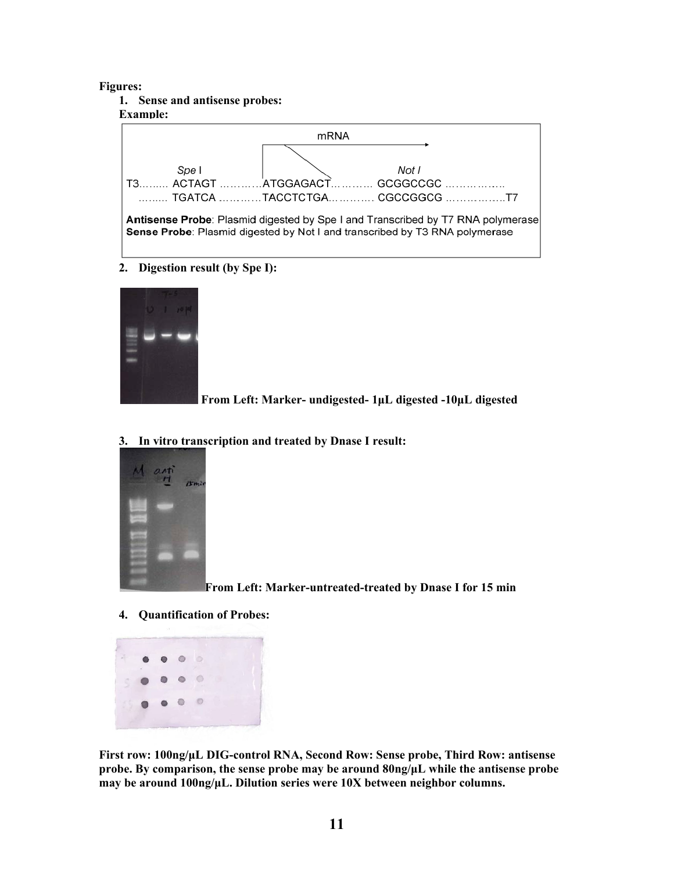#### **Figures:**

**1. Sense and antisense probes:** 

#### **Example:**



**2. Digestion result (by Spe I):** 



 **From Left: Marker- undigested- 1μL digested -10μL digested** 

 $n_{m}$ 

#### **3. In vitro transcription and treated by Dnase I result:**

 **From Left: Marker-untreated-treated by Dnase I for 15 min** 

**4. Quantification of Probes:** 



**First row: 100ng/μL DIG-control RNA, Second Row: Sense probe, Third Row: antisense probe. By comparison, the sense probe may be around 80ng/μL while the antisense probe may be around 100ng/μL. Dilution series were 10X between neighbor columns.**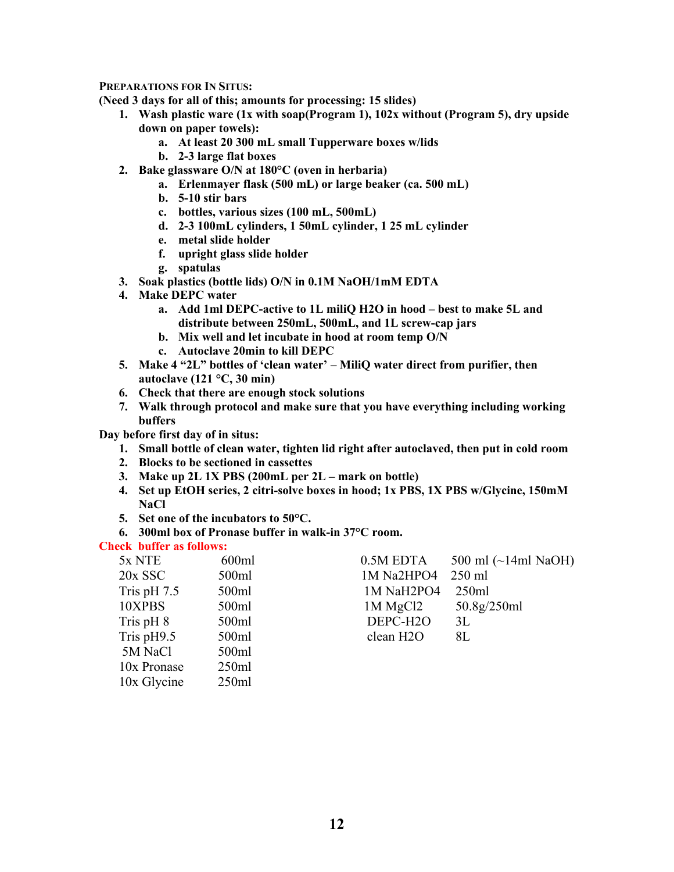#### **PREPARATIONS FOR IN SITUS:**

**(Need 3 days for all of this; amounts for processing: 15 slides)** 

- **1. Wash plastic ware (1x with soap(Program 1), 102x without (Program 5), dry upside down on paper towels):** 
	- **a. At least 20 300 mL small Tupperware boxes w/lids**
	- **b. 2-3 large flat boxes**
- **2. Bake glassware O/N at 180°C (oven in herbaria)** 
	- **a. Erlenmayer flask (500 mL) or large beaker (ca. 500 mL)**
	- **b. 5-10 stir bars**
	- **c. bottles, various sizes (100 mL, 500mL)**
	- **d. 2-3 100mL cylinders, 1 50mL cylinder, 1 25 mL cylinder**
	- **e. metal slide holder**
	- **f. upright glass slide holder**
	- **g. spatulas**
- **3. Soak plastics (bottle lids) O/N in 0.1M NaOH/1mM EDTA**
- **4. Make DEPC water** 
	- **a. Add 1ml DEPC-active to 1L miliQ H2O in hood best to make 5L and distribute between 250mL, 500mL, and 1L screw-cap jars**
	- **b. Mix well and let incubate in hood at room temp O/N**
	- **c. Autoclave 20min to kill DEPC**
- **5. Make 4 "2L" bottles of 'clean water' MiliQ water direct from purifier, then autoclave (121 °C, 30 min)**
- **6. Check that there are enough stock solutions**
- **7. Walk through protocol and make sure that you have everything including working buffers**

#### **Day before first day of in situs:**

- **1. Small bottle of clean water, tighten lid right after autoclaved, then put in cold room**
- **2. Blocks to be sectioned in cassettes**
- **3. Make up 2L 1X PBS (200mL per 2L mark on bottle)**
- **4. Set up EtOH series, 2 citri-solve boxes in hood; 1x PBS, 1X PBS w/Glycine, 150mM NaCl**
- **5. Set one of the incubators to 50°C.**
- **6. 300ml box of Pronase buffer in walk-in 37°C room.**

#### **Check buffer as follows:**

| 5x NTE        | 600ml | 0.5M EDTA                           | 500 ml $(\sim]$ 14ml NaOH) |
|---------------|-------|-------------------------------------|----------------------------|
| $20x$ SSC     | 500ml | 1M Na2HPO4                          | $250$ ml                   |
| Tris pH $7.5$ | 500ml | 1M NaH <sub>2</sub> PO <sub>4</sub> | 250ml                      |
| 10XPBS        | 500ml | $1M$ MgCl2                          | 50.8g/250ml                |
| Tris pH 8     | 500ml | DEPC-H <sub>2</sub> O               | 3L                         |
| Tris $pH9.5$  | 500ml | clean H <sub>2</sub> O              | 8L                         |
| 5M NaCl       | 500ml |                                     |                            |
| 10x Pronase   | 250ml |                                     |                            |
| 10x Glycine   | 250ml |                                     |                            |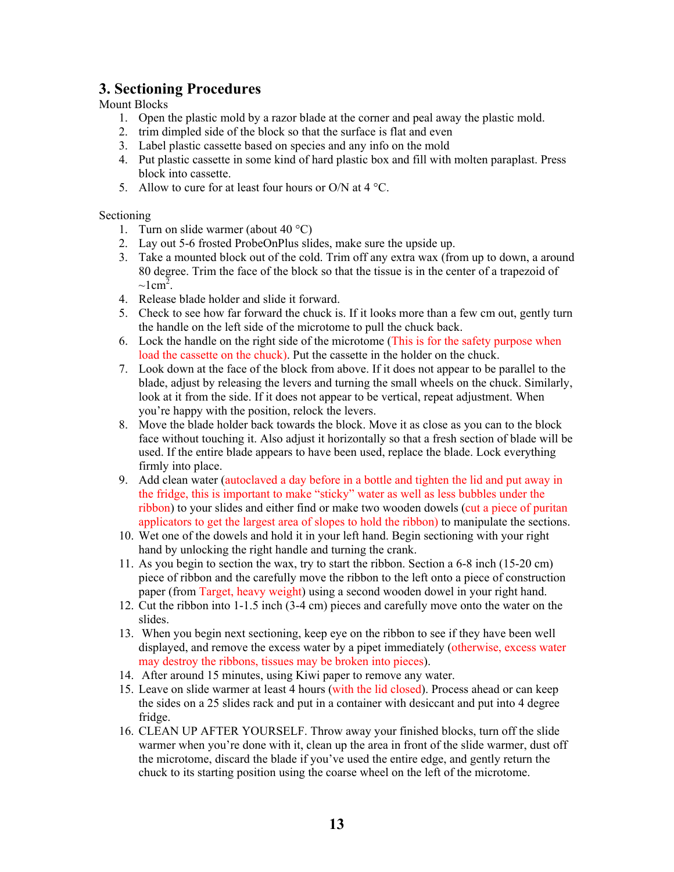#### **3. Sectioning Procedures**

#### Mount Blocks

- 1. Open the plastic mold by a razor blade at the corner and peal away the plastic mold.
- 2. trim dimpled side of the block so that the surface is flat and even
- 3. Label plastic cassette based on species and any info on the mold
- 4. Put plastic cassette in some kind of hard plastic box and fill with molten paraplast. Press block into cassette.
- 5. Allow to cure for at least four hours or O/N at  $4^{\circ}$ C.

#### Sectioning

- 1. Turn on slide warmer (about  $40^{\circ}$ C)
- 2. Lay out 5-6 frosted ProbeOnPlus slides, make sure the upside up.
- 3. Take a mounted block out of the cold. Trim off any extra wax (from up to down, a around 80 degree. Trim the face of the block so that the tissue is in the center of a trapezoid of  $\sim$ lcm<sup>2</sup>.
- 4. Release blade holder and slide it forward.
- 5. Check to see how far forward the chuck is. If it looks more than a few cm out, gently turn the handle on the left side of the microtome to pull the chuck back.
- 6. Lock the handle on the right side of the microtome (This is for the safety purpose when load the cassette on the chuck). Put the cassette in the holder on the chuck.
- 7. Look down at the face of the block from above. If it does not appear to be parallel to the blade, adjust by releasing the levers and turning the small wheels on the chuck. Similarly, look at it from the side. If it does not appear to be vertical, repeat adjustment. When you're happy with the position, relock the levers.
- 8. Move the blade holder back towards the block. Move it as close as you can to the block face without touching it. Also adjust it horizontally so that a fresh section of blade will be used. If the entire blade appears to have been used, replace the blade. Lock everything firmly into place.
- 9. Add clean water (autoclaved a day before in a bottle and tighten the lid and put away in the fridge, this is important to make "sticky" water as well as less bubbles under the ribbon) to your slides and either find or make two wooden dowels (cut a piece of puritan applicators to get the largest area of slopes to hold the ribbon) to manipulate the sections.
- 10. Wet one of the dowels and hold it in your left hand. Begin sectioning with your right hand by unlocking the right handle and turning the crank.
- 11. As you begin to section the wax, try to start the ribbon. Section a 6-8 inch (15-20 cm) piece of ribbon and the carefully move the ribbon to the left onto a piece of construction paper (from Target, heavy weight) using a second wooden dowel in your right hand.
- 12. Cut the ribbon into 1-1.5 inch (3-4 cm) pieces and carefully move onto the water on the slides.
- 13. When you begin next sectioning, keep eye on the ribbon to see if they have been well displayed, and remove the excess water by a pipet immediately (otherwise, excess water may destroy the ribbons, tissues may be broken into pieces).
- 14. After around 15 minutes, using Kiwi paper to remove any water.
- 15. Leave on slide warmer at least 4 hours (with the lid closed). Process ahead or can keep the sides on a 25 slides rack and put in a container with desiccant and put into 4 degree fridge.
- 16. CLEAN UP AFTER YOURSELF. Throw away your finished blocks, turn off the slide warmer when you're done with it, clean up the area in front of the slide warmer, dust off the microtome, discard the blade if you've used the entire edge, and gently return the chuck to its starting position using the coarse wheel on the left of the microtome.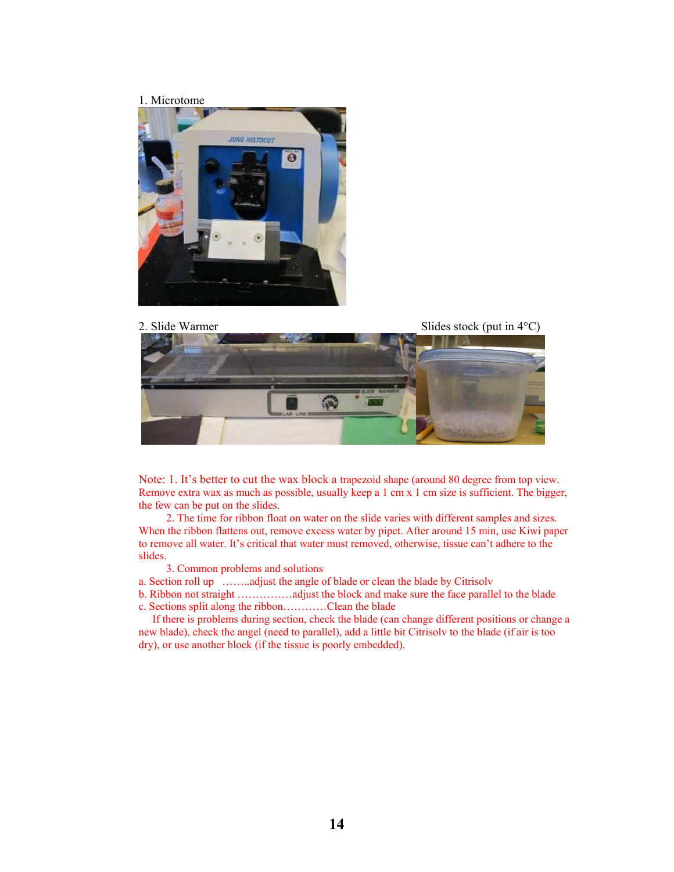#### 1. Microtome



![](_page_13_Picture_2.jpeg)

Note: 1. It's better to cut the wax block a trapezoid shape (around 80 degree from top view. Remove extra wax as much as possible, usually keep a 1 cm x 1 cm size is sufficient. The bigger, the few can be put on the slides.

 2. The time for ribbon float on water on the slide varies with different samples and sizes. When the ribbon flattens out, remove excess water by pipet. After around 15 min, use Kiwi paper to remove all water. It's critical that water must removed, otherwise, tissue can't adhere to the slides.

3. Common problems and solutions

a. Section roll up ……..adjust the angle of blade or clean the blade by Citrisolv

b. Ribbon not straight ……………adjust the block and make sure the face parallel to the blade c. Sections split along the ribbon…………Clean the blade

 If there is problems during section, check the blade (can change different positions or change a new blade), check the angel (need to parallel), add a little bit Citrisolv to the blade (if air is too dry), or use another block (if the tissue is poorly embedded).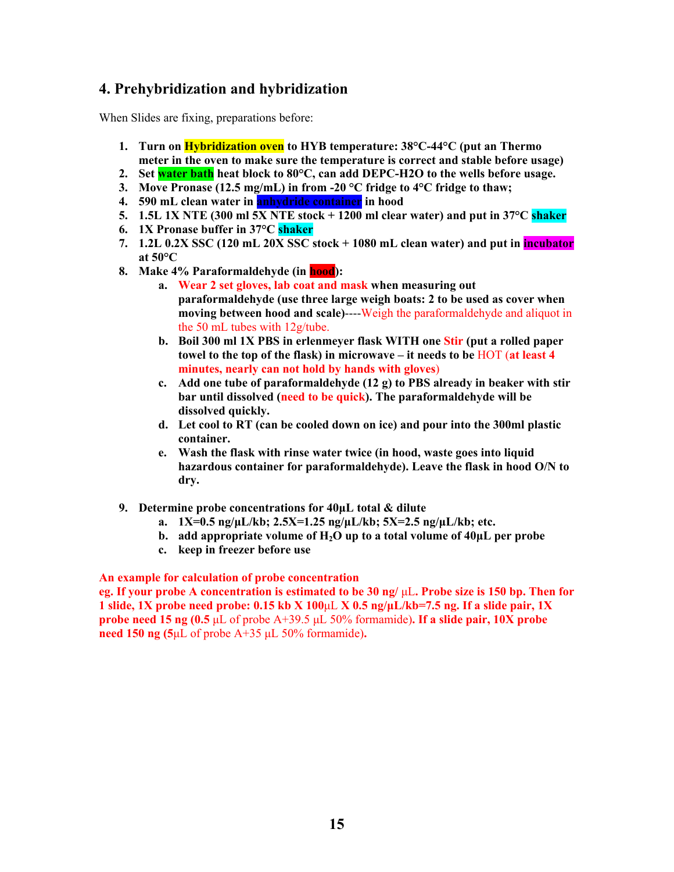#### **4. Prehybridization and hybridization**

When Slides are fixing, preparations before:

- **1. Turn on Hybridization oven to HYB temperature: 38°C-44°C (put an Thermo meter in the oven to make sure the temperature is correct and stable before usage)**
- **2. Set water bath heat block to 80°C, can add DEPC-H2O to the wells before usage.**
- **3. Move Pronase (12.5 mg/mL) in from -20 °C fridge to 4°C fridge to thaw;**
- **4. 590 mL clean water in anhydride container in hood**
- **5. 1.5L 1X NTE (300 ml 5X NTE stock + 1200 ml clear water) and put in 37°C shaker**
- **6. 1X Pronase buffer in 37°C shaker**
- **7. 1.2L 0.2X SSC (120 mL 20X SSC stock + 1080 mL clean water) and put in incubator at 50°C**
- **8. Make 4% Paraformaldehyde (in hood):** 
	- **a. Wear 2 set gloves, lab coat and mask when measuring out paraformaldehyde (use three large weigh boats: 2 to be used as cover when moving between hood and scale)**----Weigh the paraformaldehyde and aliquot in the 50 mL tubes with 12g/tube.
	- **b. Boil 300 ml 1X PBS in erlenmeyer flask WITH one Stir (put a rolled paper towel to the top of the flask) in microwave – it needs to be** HOT (**at least 4 minutes, nearly can not hold by hands with gloves**)
	- **c. Add one tube of paraformaldehyde (12 g) to PBS already in beaker with stir bar until dissolved (need to be quick). The paraformaldehyde will be dissolved quickly.**
	- **d. Let cool to RT (can be cooled down on ice) and pour into the 300ml plastic container.**
	- **e. Wash the flask with rinse water twice (in hood, waste goes into liquid hazardous container for paraformaldehyde). Leave the flask in hood O/N to dry.**
- **9. Determine probe concentrations for 40μL total & dilute** 
	- **a. 1X=0.5 ng/μL/kb; 2.5X=1.25 ng/μL/kb; 5X=2.5 ng/μL/kb; etc.**
	- **b. add appropriate volume of**  $H_2O$  **up to a total volume of**  $40\mu$ **L per probe**
	- **c. keep in freezer before use**

#### **An example for calculation of probe concentration**

**eg. If your probe A concentration is estimated to be 30 ng/** μL**. Probe size is 150 bp. Then for 1 slide, 1X probe need probe: 0.15 kb X 100**μL **X 0.5 ng/μL/kb=7.5 ng. If a slide pair, 1X probe need 15 ng (0.5** μL of probe A+39.5 μL 50% formamide)**. If a slide pair, 10X probe need 150 ng (5**μL of probe A+35 μL 50% formamide)**.**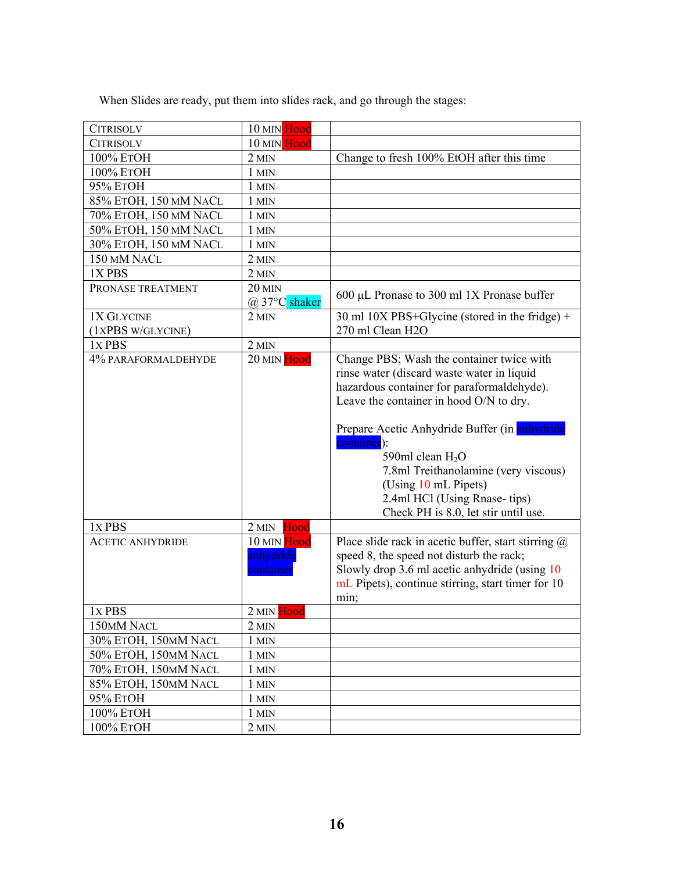When Slides are ready, put them into slides rack, and go through the stages:

| <b>CITRISOLV</b>                                         | 10 MIN Hood                                   |                                                                                                                                                                                                                                                                                                                                                                                                                                                                              |
|----------------------------------------------------------|-----------------------------------------------|------------------------------------------------------------------------------------------------------------------------------------------------------------------------------------------------------------------------------------------------------------------------------------------------------------------------------------------------------------------------------------------------------------------------------------------------------------------------------|
| <b>CITRISOLV</b>                                         | 10 MIN Hood                                   |                                                                                                                                                                                                                                                                                                                                                                                                                                                                              |
| 100% ЕТОН                                                | $2$ MIN                                       | Change to fresh 100% EtOH after this time                                                                                                                                                                                                                                                                                                                                                                                                                                    |
| 100% ETOH                                                | 1 MIN                                         |                                                                                                                                                                                                                                                                                                                                                                                                                                                                              |
| 95% ETOH                                                 | 1 MIN                                         |                                                                                                                                                                                                                                                                                                                                                                                                                                                                              |
| 85% ETOH, 150 MM NACL                                    | 1 MIN                                         |                                                                                                                                                                                                                                                                                                                                                                                                                                                                              |
| 70% ETOH, 150 MM NACL                                    | $1$ MIN                                       |                                                                                                                                                                                                                                                                                                                                                                                                                                                                              |
| 50% ETOH, 150 MM NACL                                    | 1 MIN                                         |                                                                                                                                                                                                                                                                                                                                                                                                                                                                              |
| 30% ETOH, 150 MM NACL                                    | 1 MIN                                         |                                                                                                                                                                                                                                                                                                                                                                                                                                                                              |
| 150 MM NACL                                              | 2 MIN                                         |                                                                                                                                                                                                                                                                                                                                                                                                                                                                              |
| 1XPBS                                                    | $2$ MIN                                       |                                                                                                                                                                                                                                                                                                                                                                                                                                                                              |
| PRONASE TREATMENT                                        | <b>20 MIN</b>                                 |                                                                                                                                                                                                                                                                                                                                                                                                                                                                              |
|                                                          | $(a) 37^{\circ}$ C shaker                     | 600 µL Pronase to 300 ml 1X Pronase buffer                                                                                                                                                                                                                                                                                                                                                                                                                                   |
| 1X GLYCINE                                               | $2$ MIN                                       | 30 ml 10X PBS+Glycine (stored in the fridge) +                                                                                                                                                                                                                                                                                                                                                                                                                               |
| (1XPBS W/GLYCINE)                                        |                                               | 270 ml Clean H2O                                                                                                                                                                                                                                                                                                                                                                                                                                                             |
| 1x PBS                                                   | $2$ MIN                                       |                                                                                                                                                                                                                                                                                                                                                                                                                                                                              |
| 4% PARAFORMALDEHYDE<br>1x PBS<br><b>ACETIC ANHYDRIDE</b> | 20 MIN Hood<br>Hood<br>$2$ MIN<br>10 MIN Hood | Change PBS; Wash the container twice with<br>rinse water (discard waste water in liquid<br>hazardous container for paraformaldehyde).<br>Leave the container in hood O/N to dry.<br>Prepare Acetic Anhydride Buffer (in anhydride<br>container):<br>590ml clean $H_2O$<br>7.8ml Treithanolamine (very viscous)<br>(Using 10 mL Pipets)<br>2.4ml HCl (Using Rnase-tips)<br>Check PH is 8.0, let stir until use.<br>Place slide rack in acetic buffer, start stirring $\omega$ |
|                                                          | anhydride<br>container                        | speed 8, the speed not disturb the rack;<br>Slowly drop 3.6 ml acetic anhydride (using 10<br>mL Pipets), continue stirring, start timer for 10<br>min;                                                                                                                                                                                                                                                                                                                       |
| 1x PBS                                                   | 2 MIN Hood                                    |                                                                                                                                                                                                                                                                                                                                                                                                                                                                              |
| 150MM NACL                                               | 2 MIN                                         |                                                                                                                                                                                                                                                                                                                                                                                                                                                                              |
| 30% ETOH, 150MM NACL                                     | 1 MIN                                         |                                                                                                                                                                                                                                                                                                                                                                                                                                                                              |
| 50% ETOH, 150MM NACL                                     | 1 MIN                                         |                                                                                                                                                                                                                                                                                                                                                                                                                                                                              |
| 70% ETOH, 150MM NACL                                     | 1 MIN                                         |                                                                                                                                                                                                                                                                                                                                                                                                                                                                              |
| 85% ETOH, 150MM NACL                                     | 1 MIN                                         |                                                                                                                                                                                                                                                                                                                                                                                                                                                                              |
| 95% ETOH                                                 | 1 MIN                                         |                                                                                                                                                                                                                                                                                                                                                                                                                                                                              |
| 100% ETOH                                                | 1 MIN                                         |                                                                                                                                                                                                                                                                                                                                                                                                                                                                              |
| 100% ETOH                                                | 2 MIN                                         |                                                                                                                                                                                                                                                                                                                                                                                                                                                                              |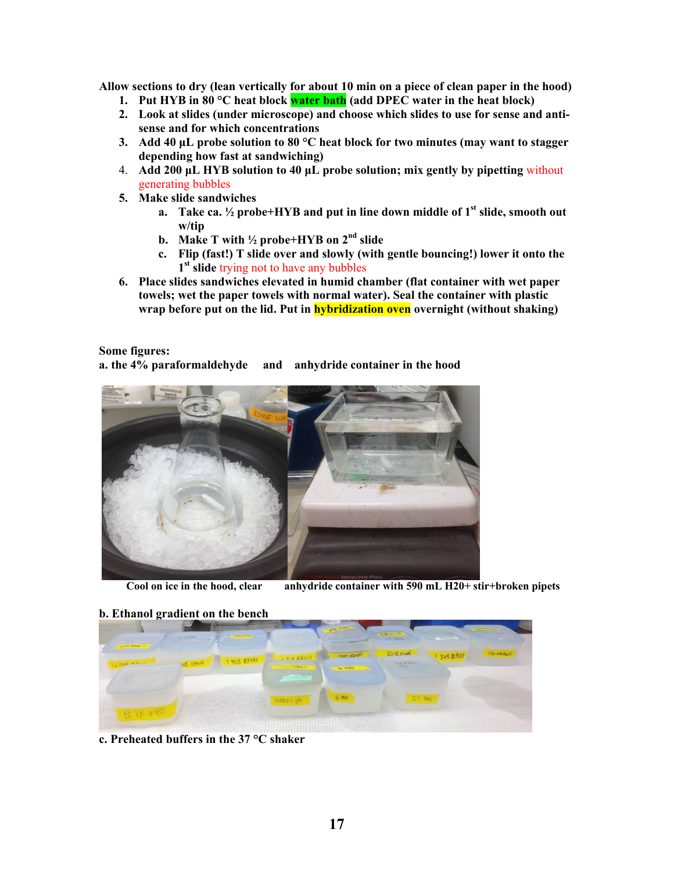**Allow sections to dry (lean vertically for about 10 min on a piece of clean paper in the hood)** 

- **1. Put HYB in 80 °C heat block water bath (add DPEC water in the heat block)**
- **2. Look at slides (under microscope) and choose which slides to use for sense and antisense and for which concentrations**
- **3. Add 40 μL probe solution to 80 °C heat block for two minutes (may want to stagger depending how fast at sandwiching)**
- 4. **Add 200 μL HYB solution to 40 μL probe solution; mix gently by pipetting** without generating bubbles
- **5. Make slide sandwiches** 
	- **a. Take ca. ½ probe+HYB and put in line down middle of 1st slide, smooth out w/tip**
	- **b. Make T with ½ probe+HYB on 2nd slide**
	- **c. Flip (fast!) T slide over and slowly (with gentle bouncing!) lower it onto the 1st slide** trying not to have any bubbles
- **6. Place slides sandwiches elevated in humid chamber (flat container with wet paper towels; wet the paper towels with normal water). Seal the container with plastic wrap before put on the lid. Put in hybridization oven overnight (without shaking)**

**Some figures: a. the 4% paraformaldehyde and anhydride container in the hood** 

![](_page_16_Picture_11.jpeg)

 **Cool on ice in the hood, clear anhydride container with 590 mL H20+ stir+broken pipets** 

# **b. Ethanol gradient on the bench**

![](_page_16_Picture_14.jpeg)

**c. Preheated buffers in the 37 °C shaker**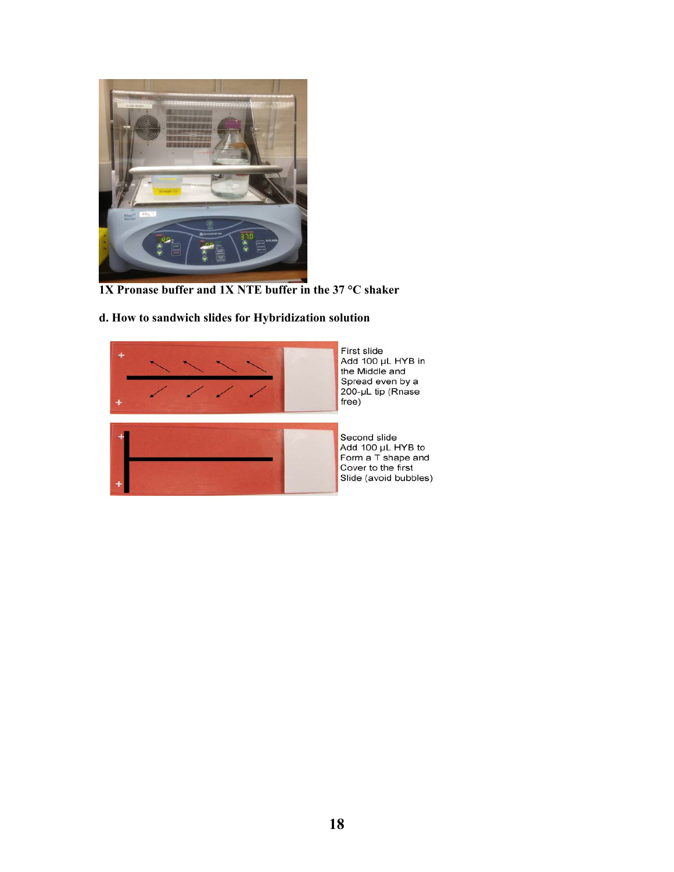![](_page_17_Picture_0.jpeg)

 **1X Pronase buffer and 1X NTE buffer in the 37 °C shaker** 

#### **d. How to sandwich slides for Hybridization solution**

![](_page_17_Picture_3.jpeg)

First slide<br>Add 100 µL HYB in<br>the Middle and Spread even by a<br>200-µL tip (Rnase free)

![](_page_17_Picture_5.jpeg)

Second slide<br>Add 100 µL HYB to<br>Form a T shape and Cover to the first Slide (avoid bubbles)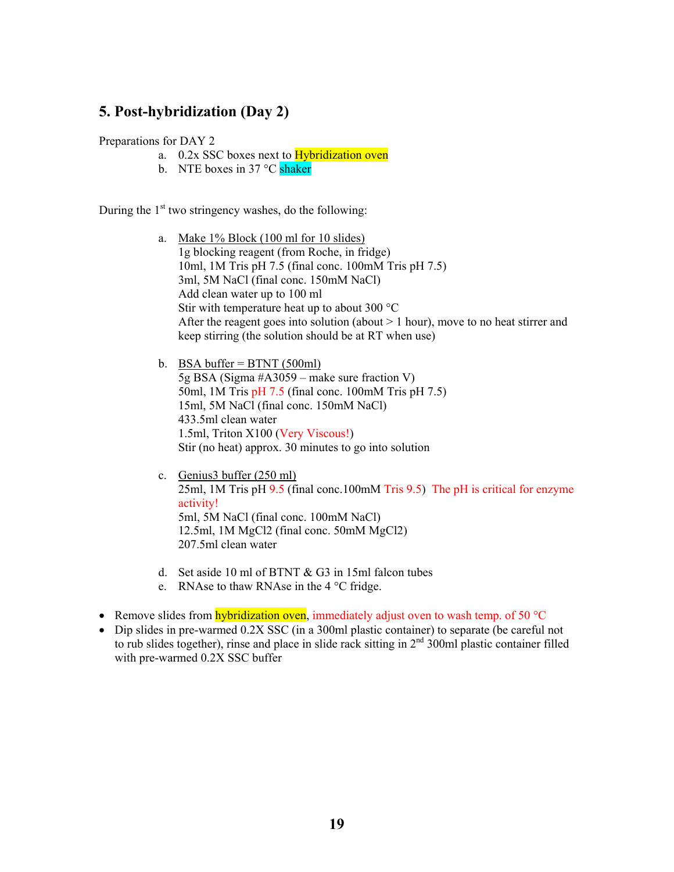#### **5. Post-hybridization (Day 2)**

#### Preparations for DAY 2

- a. 0.2x SSC boxes next to Hybridization oven
- b. NTE boxes in 37 °C shaker

During the  $1<sup>st</sup>$  two stringency washes, do the following:

- a. Make 1% Block (100 ml for 10 slides) 1g blocking reagent (from Roche, in fridge) 10ml, 1M Tris pH 7.5 (final conc. 100mM Tris pH 7.5) 3ml, 5M NaCl (final conc. 150mM NaCl) Add clean water up to 100 ml Stir with temperature heat up to about 300 °C After the reagent goes into solution (about  $> 1$  hour), move to no heat stirrer and keep stirring (the solution should be at RT when use)
- b. BSA buffer  $=$  BTNT (500ml) 5g BSA (Sigma #A3059 – make sure fraction V) 50ml, 1M Tris pH 7.5 (final conc. 100mM Tris pH 7.5) 15ml, 5M NaCl (final conc. 150mM NaCl) 433.5ml clean water 1.5ml, Triton X100 (Very Viscous!) Stir (no heat) approx. 30 minutes to go into solution
- c. Genius3 buffer (250 ml) 25ml, 1M Tris pH 9.5 (final conc.100mM Tris 9.5) The pH is critical for enzyme activity! 5ml, 5M NaCl (final conc. 100mM NaCl) 12.5ml, 1M MgCl2 (final conc. 50mM MgCl2) 207.5ml clean water
- d. Set aside 10 ml of BTNT & G3 in 15ml falcon tubes
- e. RNAse to thaw RNAse in the 4 °C fridge.
- **Remove slides from hybridization oven, immediately adjust oven to wash temp. of 50 °C**
- Dip slides in pre-warmed 0.2X SSC (in a 300ml plastic container) to separate (be careful not to rub slides together), rinse and place in slide rack sitting in  $2<sup>nd</sup>$  300ml plastic container filled with pre-warmed 0.2X SSC buffer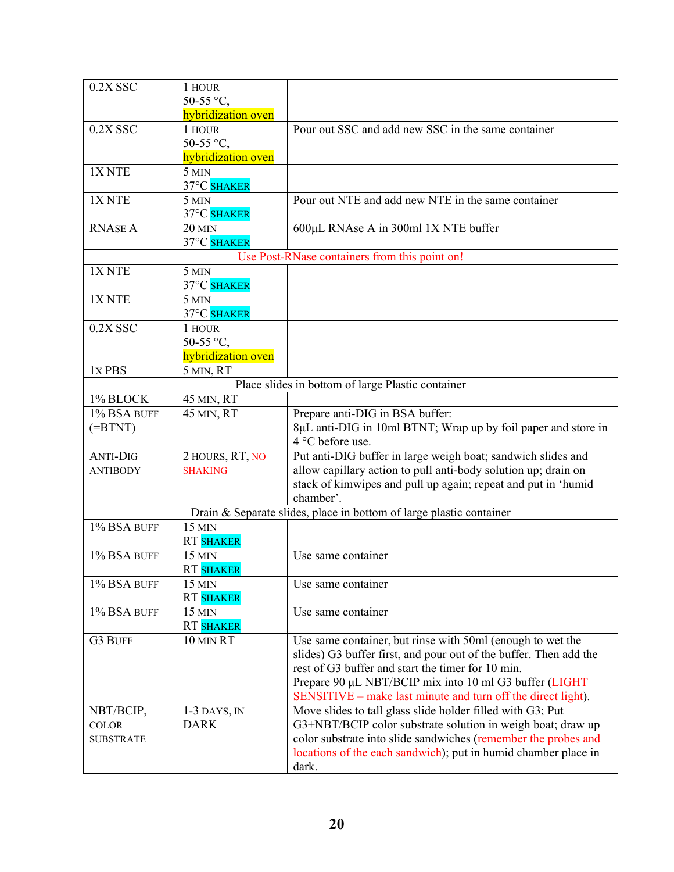| 0.2X SSC          | 1 HOUR             |                                                                     |
|-------------------|--------------------|---------------------------------------------------------------------|
|                   | 50-55 °C,          |                                                                     |
|                   | hybridization oven |                                                                     |
| $0.2X$ SSC        | 1 HOUR             | Pour out SSC and add new SSC in the same container                  |
|                   | 50-55 °C,          |                                                                     |
|                   | hybridization oven |                                                                     |
| 1X <sub>NTE</sub> | 5 MIN              |                                                                     |
|                   | 37°C SHAKER        |                                                                     |
| 1X <sub>NTE</sub> | 5 MIN              | Pour out NTE and add new NTE in the same container                  |
|                   | 37°C SHAKER        |                                                                     |
| <b>RNASE A</b>    | <b>20 MIN</b>      | 600µL RNAse A in 300ml 1X NTE buffer                                |
|                   | 37°C SHAKER        |                                                                     |
|                   |                    | Use Post-RNase containers from this point on!                       |
| 1X <sub>NTE</sub> | 5 MIN              |                                                                     |
|                   | 37°C SHAKER        |                                                                     |
| 1X <sub>NTE</sub> | 5 MIN              |                                                                     |
|                   | 37°C SHAKER        |                                                                     |
| 0.2X SSC          | 1 HOUR             |                                                                     |
|                   | 50-55 °C,          |                                                                     |
|                   | hybridization oven |                                                                     |
| 1x PBS            | 5 MIN, RT          |                                                                     |
|                   |                    | Place slides in bottom of large Plastic container                   |
| 1% BLOCK          | 45 MIN, RT         |                                                                     |
| 1% BSA BUFF       | 45 MIN, RT         | Prepare anti-DIG in BSA buffer:                                     |
| $(=\nB TNT)$      |                    | 8µL anti-DIG in 10ml BTNT; Wrap up by foil paper and store in       |
|                   |                    | 4 °C before use.                                                    |
| <b>ANTI-DIG</b>   | 2 HOURS, RT, NO    | Put anti-DIG buffer in large weigh boat; sandwich slides and        |
| <b>ANTIBODY</b>   | <b>SHAKING</b>     | allow capillary action to pull anti-body solution up; drain on      |
|                   |                    | stack of kimwipes and pull up again; repeat and put in 'humid       |
|                   |                    | chamber'.                                                           |
|                   |                    | Drain & Separate slides, place in bottom of large plastic container |
| 1% BSA BUFF       | 15 MIN             |                                                                     |
|                   | <b>RT SHAKER</b>   |                                                                     |
| 1% BSA BUFF       | 15 MIN             | Use same container                                                  |
|                   | <b>RT SHAKER</b>   |                                                                     |
| 1% BSA BUFF       | $15$ MIN           | Use same container                                                  |
|                   | <b>RT SHAKER</b>   |                                                                     |
| 1% BSA BUFF       | 15 MIN             | Use same container                                                  |
|                   | <b>RT SHAKER</b>   |                                                                     |
| <b>G3 BUFF</b>    | 10 MIN RT          | Use same container, but rinse with 50ml (enough to wet the          |
|                   |                    | slides) G3 buffer first, and pour out of the buffer. Then add the   |
|                   |                    | rest of G3 buffer and start the timer for 10 min.                   |
|                   |                    | Prepare 90 µL NBT/BCIP mix into 10 ml G3 buffer (LIGHT              |
|                   |                    | SENSITIVE – make last minute and turn off the direct light).        |
| NBT/BCIP,         | $1-3$ DAYS, IN     | Move slides to tall glass slide holder filled with G3; Put          |
| <b>COLOR</b>      | <b>DARK</b>        | G3+NBT/BCIP color substrate solution in weigh boat; draw up         |
| <b>SUBSTRATE</b>  |                    | color substrate into slide sandwiches (remember the probes and      |
|                   |                    | locations of the each sandwich); put in humid chamber place in      |
|                   |                    |                                                                     |
|                   |                    | dark.                                                               |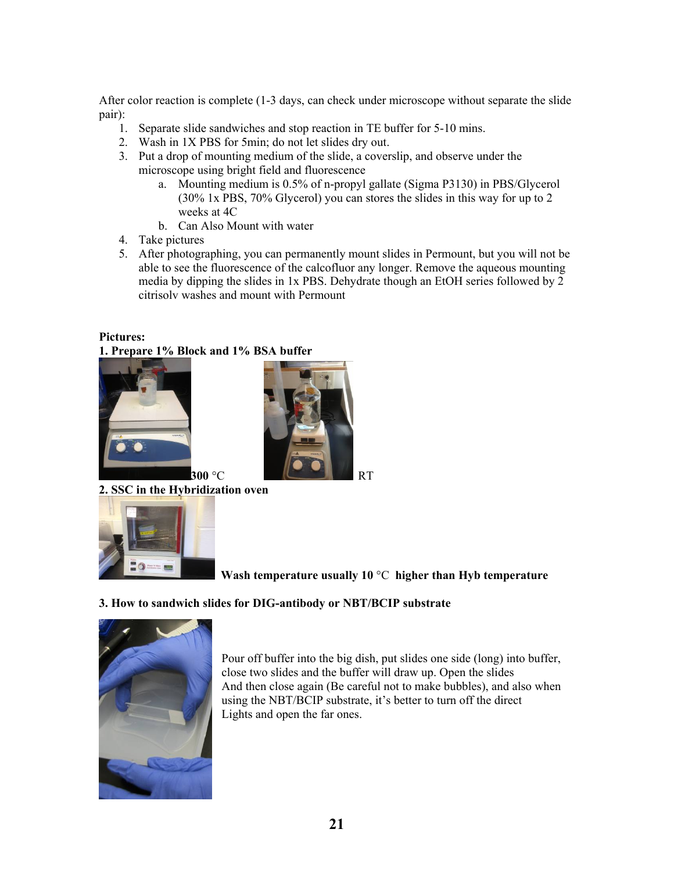After color reaction is complete (1-3 days, can check under microscope without separate the slide pair):

- 1. Separate slide sandwiches and stop reaction in TE buffer for 5-10 mins.
- 2. Wash in 1X PBS for 5min; do not let slides dry out.
- 3. Put a drop of mounting medium of the slide, a coverslip, and observe under the microscope using bright field and fluorescence
	- a. Mounting medium is 0.5% of n-propyl gallate (Sigma P3130) in PBS/Glycerol (30% 1x PBS, 70% Glycerol) you can stores the slides in this way for up to 2 weeks at 4C
	- b. Can Also Mount with water
- 4. Take pictures
- 5. After photographing, you can permanently mount slides in Permount, but you will not be able to see the fluorescence of the calcofluor any longer. Remove the aqueous mounting media by dipping the slides in 1x PBS. Dehydrate though an EtOH series followed by 2 citrisolv washes and mount with Permount

### **Pictures:**

#### **1. Prepare 1% Block and 1% BSA buffer**

![](_page_20_Picture_10.jpeg)

![](_page_20_Picture_11.jpeg)

**2. SSC in the Hybridization oven** 

![](_page_20_Picture_13.jpeg)

 **Wash temperature usually 10** °C **higher than Hyb temperature** 

#### **3. How to sandwich slides for DIG-antibody or NBT/BCIP substrate**

![](_page_20_Picture_16.jpeg)

Pour off buffer into the big dish, put slides one side (long) into buffer, close two slides and the buffer will draw up. Open the slides And then close again (Be careful not to make bubbles), and also when using the NBT/BCIP substrate, it's better to turn off the direct Lights and open the far ones.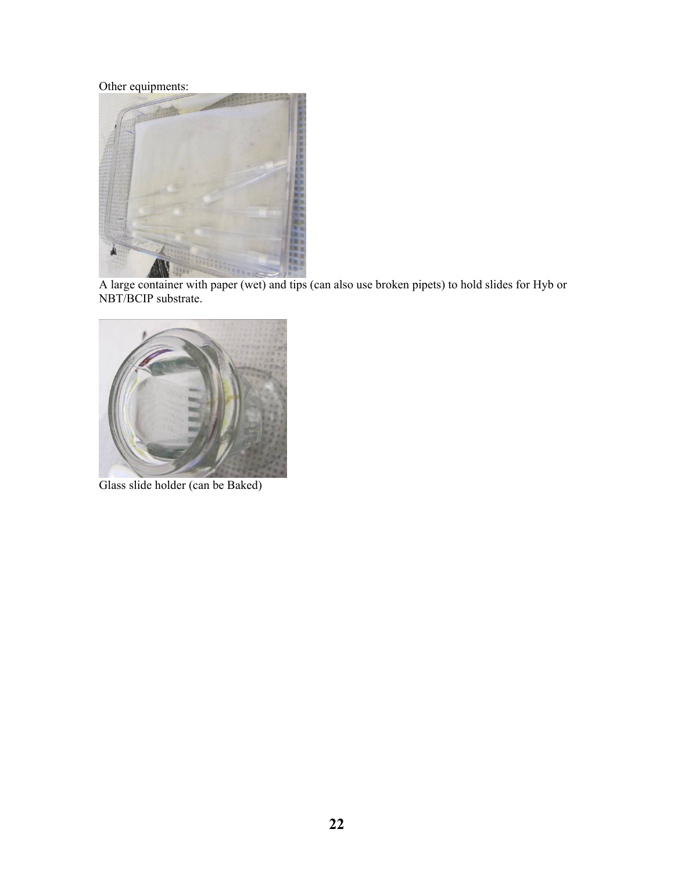Other equipments:

![](_page_21_Picture_1.jpeg)

A large container with paper (wet) and tips (can also use broken pipets) to hold slides for Hyb or NBT/BCIP substrate.

![](_page_21_Picture_3.jpeg)

Glass slide holder (can be Baked)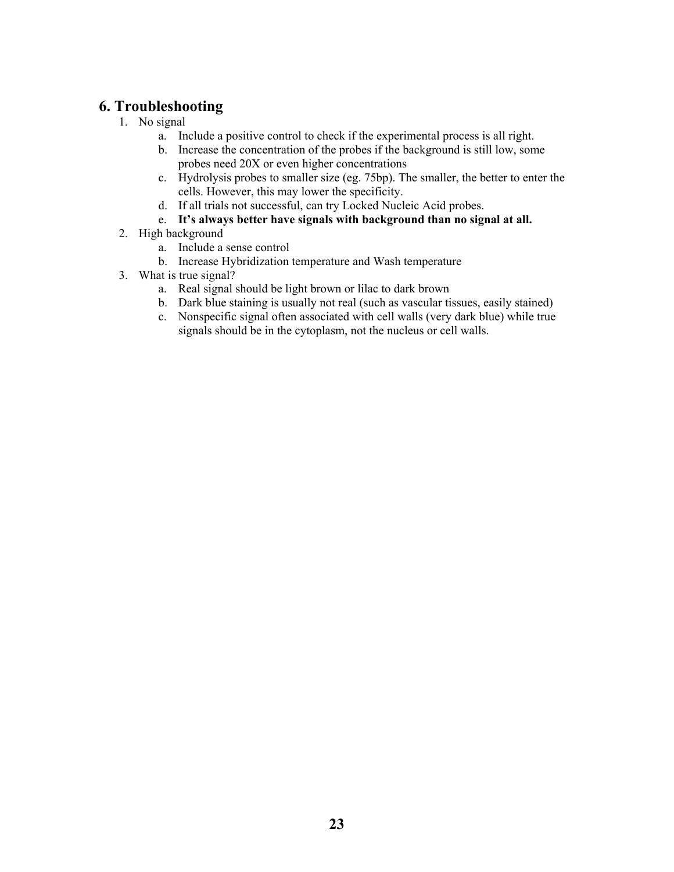#### **6. Troubleshooting**

- 1. No signal
	- a. Include a positive control to check if the experimental process is all right.
	- b. Increase the concentration of the probes if the background is still low, some probes need 20X or even higher concentrations
	- c. Hydrolysis probes to smaller size (eg. 75bp). The smaller, the better to enter the cells. However, this may lower the specificity.
	- d. If all trials not successful, can try Locked Nucleic Acid probes.
	- e. **It's always better have signals with background than no signal at all.**
- 2. High background
	- a. Include a sense control
	- b. Increase Hybridization temperature and Wash temperature
- 3. What is true signal?
	- a. Real signal should be light brown or lilac to dark brown
	- b. Dark blue staining is usually not real (such as vascular tissues, easily stained)
	- c. Nonspecific signal often associated with cell walls (very dark blue) while true signals should be in the cytoplasm, not the nucleus or cell walls.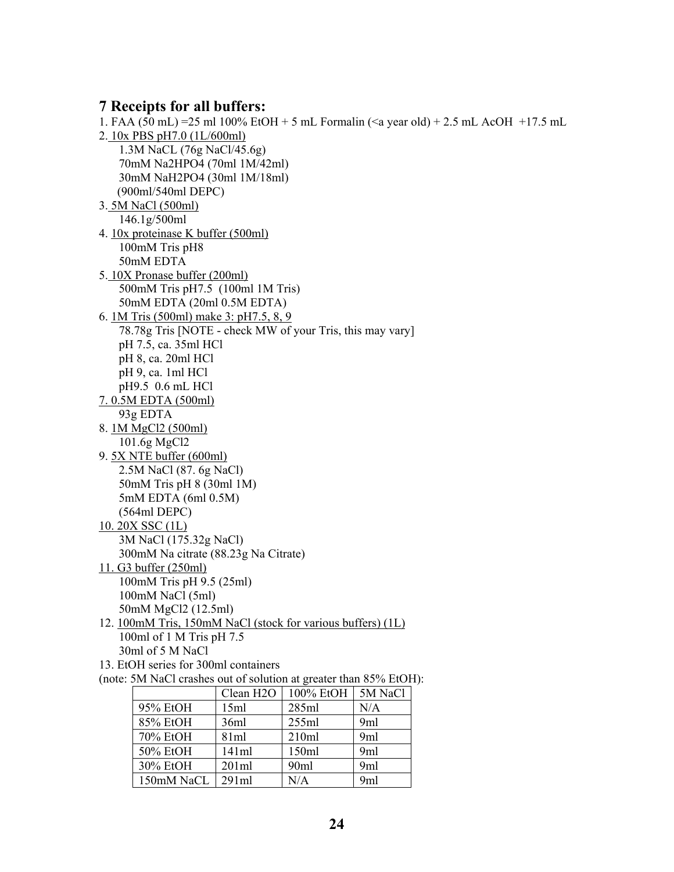#### **7 Receipts for all buffers:**

1. FAA (50 mL) =25 ml 100% EtOH + 5 mL Formalin (<a year old) + 2.5 mL AcOH +17.5 mL 2. 10x PBS pH7.0 (1L/600ml) 1.3M NaCL (76g NaCl/45.6g) 70mM Na2HPO4 (70ml 1M/42ml) 30mM NaH2PO4 (30ml 1M/18ml) (900ml/540ml DEPC) 3. 5M NaCl (500ml) 146.1g/500ml 4. 10x proteinase K buffer (500ml) 100mM Tris pH8 50mM EDTA 5. 10X Pronase buffer (200ml) 500mM Tris pH7.5 (100ml 1M Tris) 50mM EDTA (20ml 0.5M EDTA) 6. 1M Tris (500ml) make 3: pH7.5, 8, 9 78.78g Tris [NOTE - check MW of your Tris, this may vary] pH 7.5, ca. 35ml HCl pH 8, ca. 20ml HCl pH 9, ca. 1ml HCl pH9.5 0.6 mL HCl 7. 0.5M EDTA (500ml) 93g EDTA 8. 1M MgCl2 (500ml) 101.6g MgCl2 9. 5X NTE buffer (600ml) 2.5M NaCl (87. 6g NaCl) 50mM Tris pH 8 (30ml 1M) 5mM EDTA (6ml 0.5M) (564ml DEPC) 10. 20X SSC (1L) 3M NaCl (175.32g NaCl) 300mM Na citrate (88.23g Na Citrate) 11. G3 buffer (250ml) 100mM Tris pH 9.5 (25ml) 100mM NaCl (5ml) 50mM MgCl2 (12.5ml) 12. 100mM Tris, 150mM NaCl (stock for various buffers) (1L) 100ml of 1 M Tris pH 7.5 30ml of 5 M NaCl 13. EtOH series for 300ml containers (note: 5M NaCl crashes out of solution at greater than 85% EtOH): Clean H2O |  $100\%$  EtOH | 5M NaCl 95% EtOH 15ml 285ml N/A 85% EtOH 36ml 255ml 9ml 70% EtOH 81ml 210ml 9ml 50% EtOH 141ml 150ml 9ml

30% EtOH 201ml 90ml 9ml 150mM NaCL 291ml N/A 9ml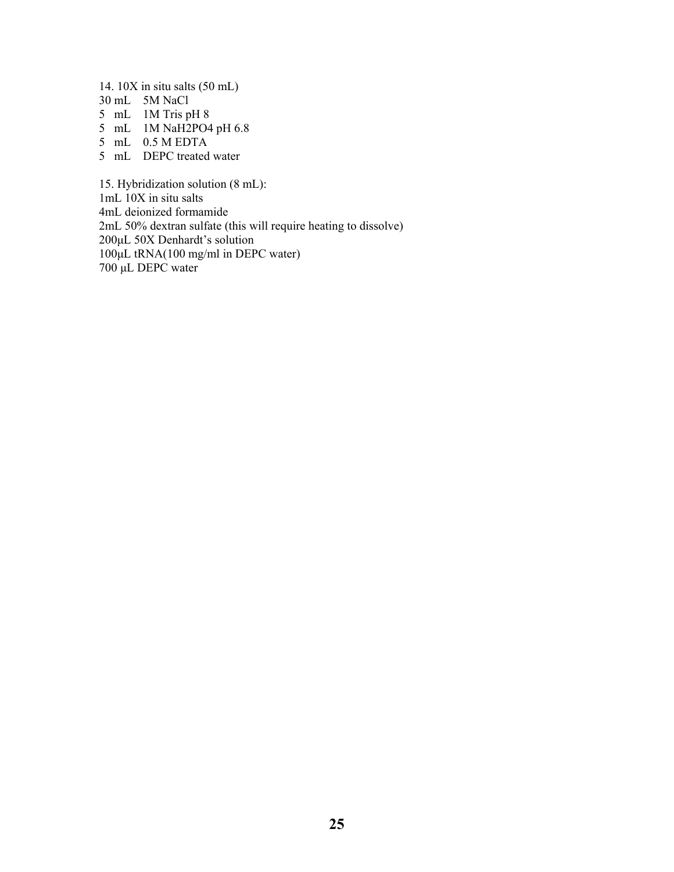14. 10X in situ salts (50 mL) 30 mL 5M NaCl

- 5 mL 1M Tris pH 8
- 5 mL 1M NaH2PO4 pH 6.8
- 5 mL 0.5 M EDTA
- 
- 5 mL DEPC treated water

15. Hybridization solution (8 mL): 1mL 10X in situ salts 4mL deionized formamide 2mL 50% dextran sulfate (this will require heating to dissolve) 200μL 50X Denhardt's solution 100μL tRNA(100 mg/ml in DEPC water) 700 μL DEPC water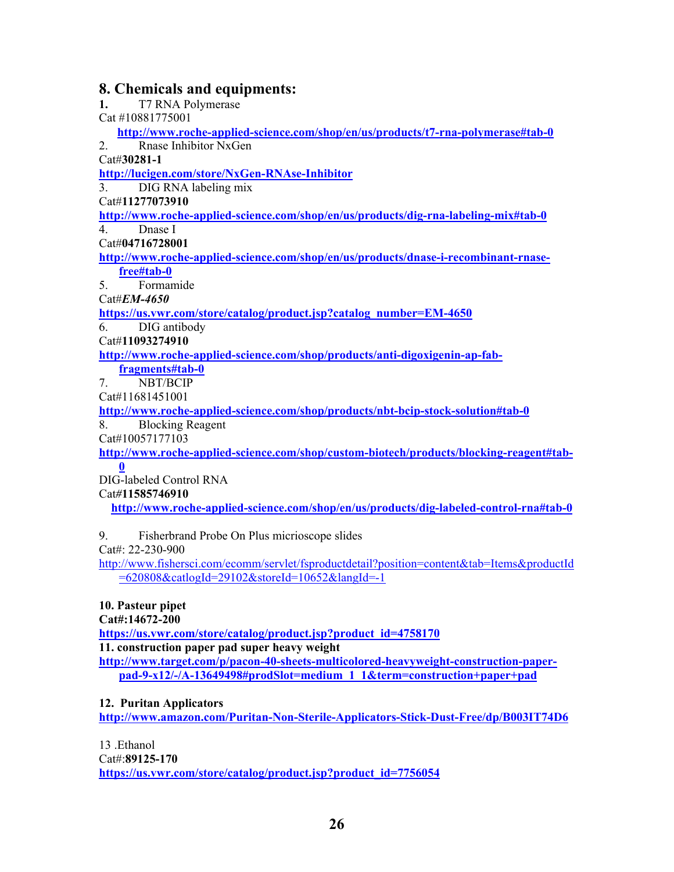#### **8. Chemicals and equipments:**

**1.** T7 RNA Polymerase Cat #10881775001  **http://www.roche-applied-science.com/shop/en/us/products/t7-rna-polymerase#tab-0** 2. Rnase Inhibitor NxGen Cat#**30281-1 http://lucigen.com/store/NxGen-RNAse-Inhibitor** 3. DIG RNA labeling mix Cat#**11277073910 http://www.roche-applied-science.com/shop/en/us/products/dig-rna-labeling-mix#tab-0** 4. Dnase I Cat#**04716728001 http://www.roche-applied-science.com/shop/en/us/products/dnase-i-recombinant-rnasefree#tab-0** 5. Formamide Cat#*EM-4650*  **https://us.vwr.com/store/catalog/product.jsp?catalog\_number=EM-4650** 6. DIG antibody Cat#**11093274910 http://www.roche-applied-science.com/shop/products/anti-digoxigenin-ap-fabfragments#tab-0** 7. NBT/BCIP Cat#11681451001 **http://www.roche-applied-science.com/shop/products/nbt-bcip-stock-solution#tab-0** 8. Blocking Reagent Cat#10057177103 **http://www.roche-applied-science.com/shop/custom-biotech/products/blocking-reagent#tab-0** DIG-labeled Control RNA Cat*#***11585746910 http://www.roche-applied-science.com/shop/en/us/products/dig-labeled-control-rna#tab-0**

9. Fisherbrand Probe On Plus micrioscope slides

Cat#: 22-230-900

http://www.fishersci.com/ecomm/servlet/fsproductdetail?position=content&tab=Items&productId =620808&catlogId=29102&storeId=10652&langId=-1

#### **10. Pasteur pipet**

**Cat#:14672-200** 

**https://us.vwr.com/store/catalog/product.jsp?product\_id=4758170**

**11. construction paper pad super heavy weight** 

**http://www.target.com/p/pacon-40-sheets-multicolored-heavyweight-construction-paperpad-9-x12/-/A-13649498#prodSlot=medium\_1\_1&term=construction+paper+pad**

#### **12. Puritan Applicators**

**http://www.amazon.com/Puritan-Non-Sterile-Applicators-Stick-Dust-Free/dp/B003IT74D6**

13 .Ethanol

Cat#:**89125-170** 

**https://us.vwr.com/store/catalog/product.jsp?product\_id=7756054**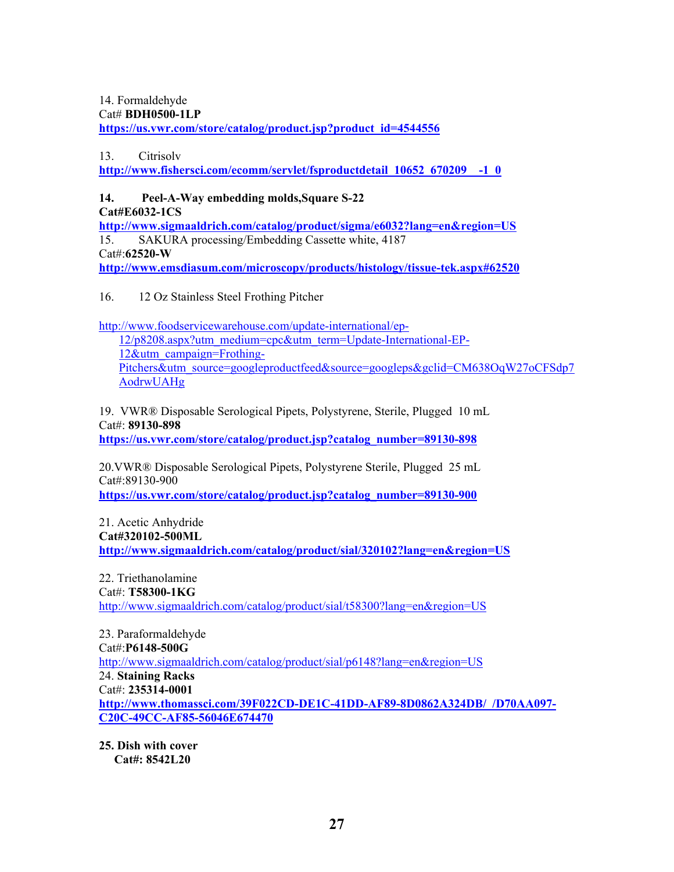14. Formaldehyde Cat# **BDH0500-1LP https://us.vwr.com/store/catalog/product.jsp?product\_id=4544556**

13. Citrisolv

**http://www.fishersci.com/ecomm/servlet/fsproductdetail\_10652\_670209\_\_-1\_0**

**14. Peel-A-Way embedding molds,Square S-22 Cat#E6032-1CS**  http://www.sigmaaldrich.com/catalog/product/sigma/e6032?lang=en&region=US 15. SAKURA processing/Embedding Cassette white, 4187 Cat#:**62520-W http://www.emsdiasum.com/microscopy/products/histology/tissue-tek.aspx#62520**

16. 12 Oz Stainless Steel Frothing Pitcher

http://www.foodservicewarehouse.com/update-international/ep-

12/p8208.aspx?utm\_medium=cpc&utm\_term=Update-International-EP-12&utm\_campaign=Frothing-Pitchers&utm\_source=googleproductfeed&source=googleps&gclid=CM638OqW27oCFSdp7 AodrwUAHg

19. VWR® Disposable Serological Pipets, Polystyrene, Sterile, Plugged 10 mL Cat#: **89130-898**

**https://us.vwr.com/store/catalog/product.jsp?catalog\_number=89130-898**

20.VWR® Disposable Serological Pipets, Polystyrene Sterile, Plugged 25 mL Cat#:89130-900

**https://us.vwr.com/store/catalog/product.jsp?catalog\_number=89130-900**

21. Acetic Anhydride **Cat#320102-500ML** 

http://www.sigmaaldrich.com/catalog/product/sial/320102?lang=en&region=US

22. Triethanolamine Cat#: **T58300-1KG**  http://www.sigmaaldrich.com/catalog/product/sial/t58300?lang=en&region=US

23. Paraformaldehyde Cat#:**P6148-500G**  http://www.sigmaaldrich.com/catalog/product/sial/p6148?lang=en&region=US 24. **Staining Racks**  Cat#: **235314-0001 http://www.thomassci.com/39F022CD-DE1C-41DD-AF89-8D0862A324DB/\_/D70AA097- C20C-49CC-AF85-56046E674470**

**25. Dish with cover Cat#: 8542L20**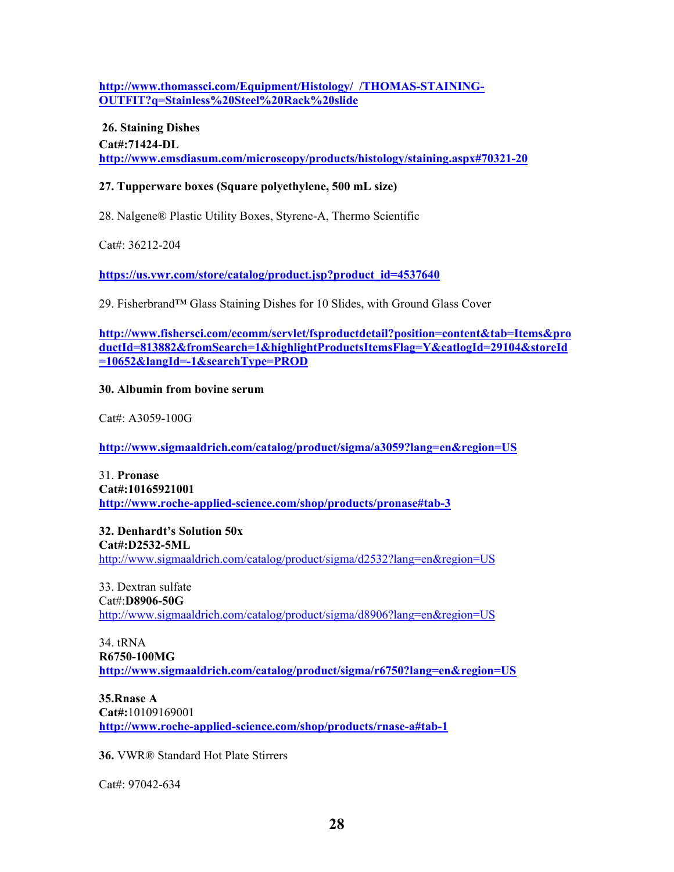**http://www.thomassci.com/Equipment/Histology/\_/THOMAS-STAINING-OUTFIT?q=Stainless%20Steel%20Rack%20slide**

 **26. Staining Dishes Cat#:71424-DL http://www.emsdiasum.com/microscopy/products/histology/staining.aspx#70321-20**

#### **27. Tupperware boxes (Square polyethylene, 500 mL size)**

28. Nalgene® Plastic Utility Boxes, Styrene-A, Thermo Scientific

Cat#: 36212-204

**https://us.vwr.com/store/catalog/product.jsp?product\_id=4537640**

29. Fisherbrand™ Glass Staining Dishes for 10 Slides, with Ground Glass Cover

**http://www.fishersci.com/ecomm/servlet/fsproductdetail?position=content&tab=Items&pro ductId=813882&fromSearch=1&highlightProductsItemsFlag=Y&catlogId=29104&storeId =10652&langId=-1&searchType=PROD**

#### **30. Albumin from bovine serum**

Cat#: A3059-100G

http://www.sigmaaldrich.com/catalog/product/sigma/a3059?lang=en&region=US

31. **Pronase Cat#:10165921001 http://www.roche-applied-science.com/shop/products/pronase#tab-3**

**32. Denhardt's Solution 50x Cat#:D2532-5ML**  http://www.sigmaaldrich.com/catalog/product/sigma/d2532?lang=en&region=US

33. Dextran sulfate Cat#:**D8906-50G**  http://www.sigmaaldrich.com/catalog/product/sigma/d8906?lang=en&region=US

34. tRNA **R6750-100MG**  http://www.sigmaaldrich.com/catalog/product/sigma/r6750?lang=en&region=US

**35.Rnase A Cat#:**10109169001 **http://www.roche-applied-science.com/shop/products/rnase-a#tab-1**

**36.** VWR® Standard Hot Plate Stirrers

Cat#: 97042-634